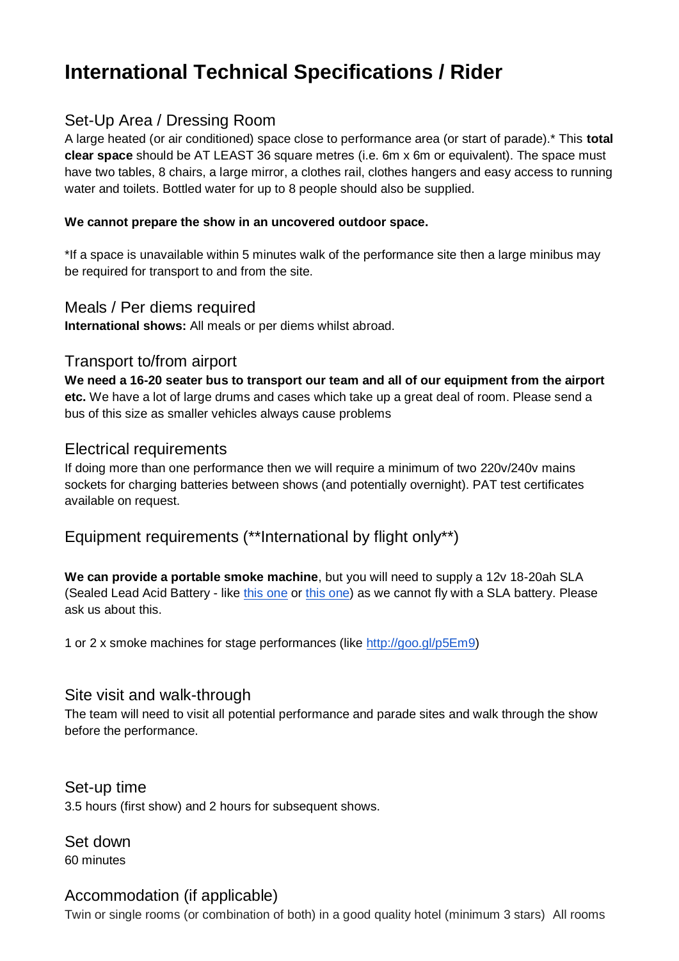# **International Technical Specifications / Rider**

## Set-Up Area / Dressing Room

A large heated (or air conditioned) space close to performance area (or start of parade).\* This **total clear space** should be AT LEAST 36 square metres (i.e. 6m x 6m or equivalent). The space must have two tables, 8 chairs, a large mirror, a clothes rail, clothes hangers and easy access to running water and toilets. Bottled water for up to 8 people should also be supplied.

#### **We cannot prepare the show in an uncovered outdoor space.**

\*If a space is unavailable within 5 minutes walk of the performance site then a large minibus may be required for transport to and from the site.

#### Meals / Per diems required

**International shows:** All meals or per diems whilst abroad.

#### Transport to/from airport

**We need a 16-20 seater bus to transport our team and all of our equipment from the airport etc.** We have a lot of large drums and cases which take up a great deal of room. Please send a bus of this size as smaller vehicles always cause problems

#### Electrical requirements

If doing more than one performance then we will require a minimum of two 220v/240v mains sockets for charging batteries between shows (and potentially overnight). PAT test certificates available on request.

# Equipment requirements (\*\*International by flight only\*\*)

**We can provide a portable smoke machine**, but you will need to supply a 12v 18-20ah SLA (Sealed Lead Acid Battery - like [this one](http://goo.gl/FFQ9YA) or [this one\)](http://www.batterybayuk.com/batteries-chargers/electric-toy-vehicle-batteries-replacement-batteries-for-peg-perego-feber-indusa-john-deere-caterpillar/lucas-12v-18ah-sla-battery) as we cannot fly with a SLA battery. Please ask us about this.

1 or 2 x smoke machines for stage performances (like [http://goo.gl/p5Em9\)](http://goo.gl/p5Em9)

#### Site visit and walk-through

The team will need to visit all potential performance and parade sites and walk through the show before the performance.

Set-up time 3.5 hours (first show) and 2 hours for subsequent shows.

Set down 60 minutes

## Accommodation (if applicable)

Twin or single rooms (or combination of both) in a good quality hotel (minimum 3 stars) All rooms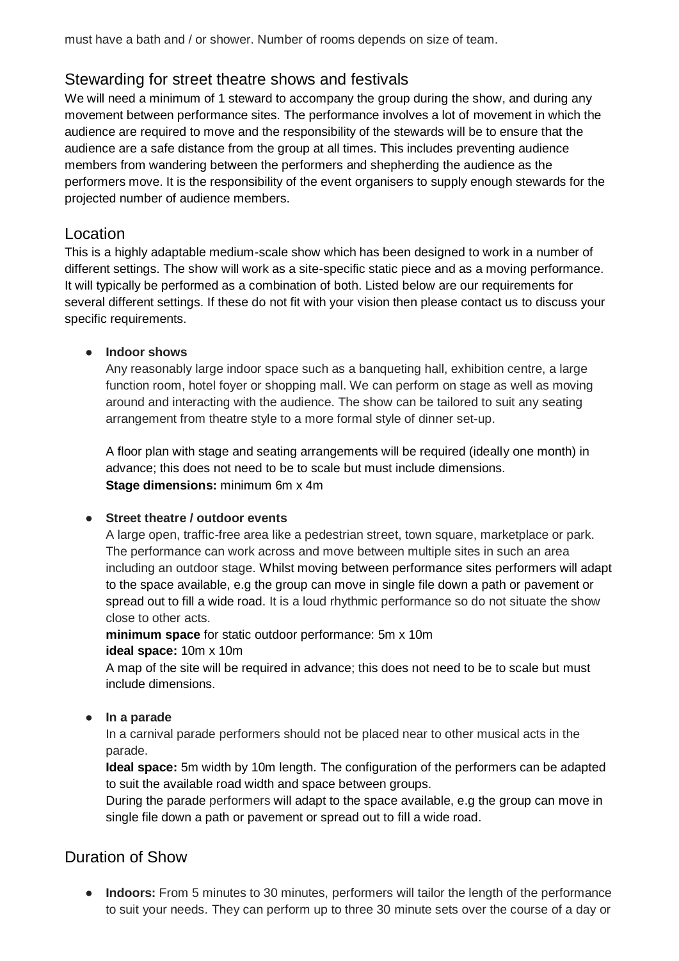# Stewarding for street theatre shows and festivals

We will need a minimum of 1 steward to accompany the group during the show, and during any movement between performance sites. The performance involves a lot of movement in which the audience are required to move and the responsibility of the stewards will be to ensure that the audience are a safe distance from the group at all times. This includes preventing audience members from wandering between the performers and shepherding the audience as the performers move. It is the responsibility of the event organisers to supply enough stewards for the projected number of audience members.

## Location

This is a highly adaptable medium-scale show which has been designed to work in a number of different settings. The show will work as a site-specific static piece and as a moving performance. It will typically be performed as a combination of both. Listed below are our requirements for several different settings. If these do not fit with your vision then please contact us to discuss your specific requirements.

#### **● Indoor shows**

Any reasonably large indoor space such as a banqueting hall, exhibition centre, a large function room, hotel foyer or shopping mall. We can perform on stage as well as moving around and interacting with the audience. The show can be tailored to suit any seating arrangement from theatre style to a more formal style of dinner set-up.

A floor plan with stage and seating arrangements will be required (ideally one month) in advance; this does not need to be to scale but must include dimensions. **Stage dimensions:** minimum 6m x 4m

#### **● Street theatre / outdoor events**

A large open, traffic-free area like a pedestrian street, town square, marketplace or park. The performance can work across and move between multiple sites in such an area including an outdoor stage. Whilst moving between performance sites performers will adapt to the space available, e.g the group can move in single file down a path or pavement or spread out to fill a wide road. It is a loud rhythmic performance so do not situate the show close to other acts.

**minimum space** for static outdoor performance: 5m x 10m **ideal space:** 10m x 10m

A map of the site will be required in advance; this does not need to be to scale but must include dimensions.

**● In a parade**

In a carnival parade performers should not be placed near to other musical acts in the parade.

**Ideal space:** 5m width by 10m length. The configuration of the performers can be adapted to suit the available road width and space between groups.

During the parade performers will adapt to the space available, e.g the group can move in single file down a path or pavement or spread out to fill a wide road.

## Duration of Show

**● Indoors:** From 5 minutes to 30 minutes, performers will tailor the length of the performance to suit your needs. They can perform up to three 30 minute sets over the course of a day or